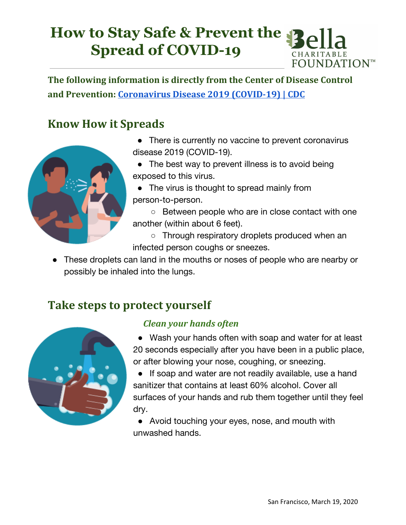# **How to Stay Safe & Prevent the Spread of COVID-19 FOUNDATION™**

**The following information is directly from the Center of Disease Control and Prevention: [Coronavirus](https://www.cdc.gov/coronavirus/2019-nCoV/index.html) Disease 2019 (COVID-19) | CDC**

## **Know How it Spreads**



- There is currently no vaccine to prevent coronavirus disease 2019 (COVID-19).
- The best way to prevent illness is to avoid being exposed to this virus.

• The virus is thought to spread mainly from person-to-person.

○ Between people who are in close contact with one another (within about 6 feet).

○ Through respiratory droplets produced when an infected person coughs or sneezes.

These droplets can land in the mouths or noses of people who are nearby or possibly be inhaled into the lungs.

## **Take steps to protect yourself**



#### *Clean your hands often*

● Wash your hands often with soap and water for at least 20 seconds especially after you have been in a public place, or after blowing your nose, coughing, or sneezing.

● If soap and water are not readily available, use a hand sanitizer that contains at least 60% alcohol. Cover all surfaces of your hands and rub them together until they feel dry.

• Avoid touching your eyes, nose, and mouth with unwashed hands.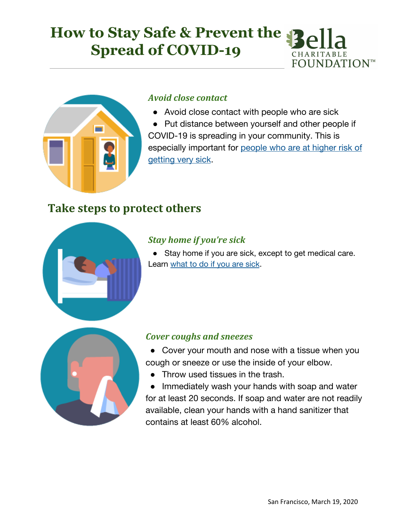# **How to Stay Safe & Prevent the Spread of COVID-19 FOUNDATION™**



#### *Avoid close contact*

● Avoid close contact with people who are sick

● Put distance between yourself and other people if COVID-19 is spreading in your community. This is especially important for [people](https://www.cdc.gov/coronavirus/2019-ncov/specific-groups/high-risk-complications.html) who are at higher risk of [getting](https://www.cdc.gov/coronavirus/2019-ncov/specific-groups/high-risk-complications.html) very sick.

## **Take steps to protect others**



### *Stay home if you're sick*

● Stay home if you are sick, except to get medical care. Learn [what to do if you are sick.](https://www.cdc.gov/coronavirus/2019-ncov/if-you-are-sick/steps-when-sick.html)



#### *Cover coughs and sneezes*

- Cover your mouth and nose with a tissue when you cough or sneeze or use the inside of your elbow.
	- Throw used tissues in the trash.

• Immediately wash your hands with soap and water for at least 20 seconds. If soap and water are not readily available, clean your hands with a hand sanitizer that contains at least 60% alcohol.